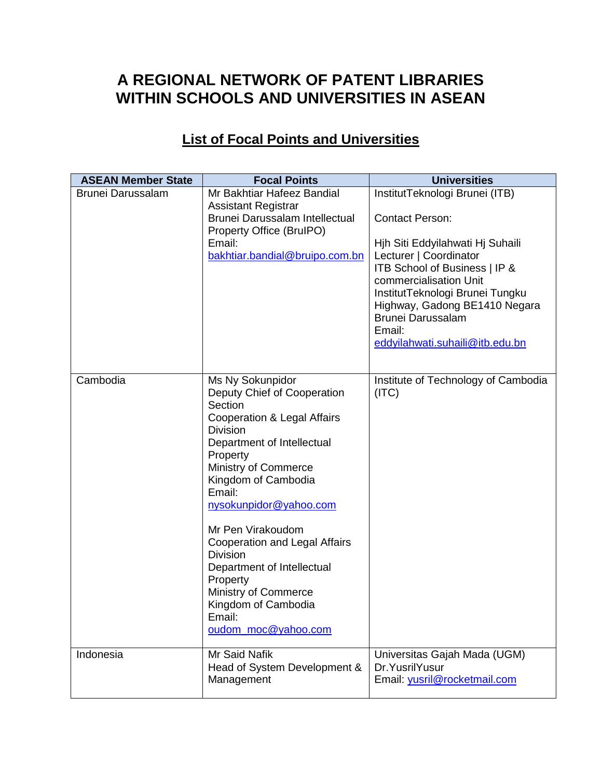## **A REGIONAL NETWORK OF PATENT LIBRARIES WITHIN SCHOOLS AND UNIVERSITIES IN ASEAN**

## **List of Focal Points and Universities**

| <b>ASEAN Member State</b> | <b>Focal Points</b>                                                                                                                                                                                                                                            | <b>Universities</b>                                                                                                                                                                                                                                                                                                            |
|---------------------------|----------------------------------------------------------------------------------------------------------------------------------------------------------------------------------------------------------------------------------------------------------------|--------------------------------------------------------------------------------------------------------------------------------------------------------------------------------------------------------------------------------------------------------------------------------------------------------------------------------|
| <b>Brunei Darussalam</b>  | Mr Bakhtiar Hafeez Bandial<br><b>Assistant Registrar</b><br>Brunei Darussalam Intellectual<br>Property Office (BrulPO)<br>Email:<br>bakhtiar.bandial@bruipo.com.bn                                                                                             | InstitutTeknologi Brunei (ITB)<br><b>Contact Person:</b><br>Hjh Siti Eddyilahwati Hj Suhaili<br>Lecturer   Coordinator<br>ITB School of Business   IP &<br>commercialisation Unit<br>InstitutTeknologi Brunei Tungku<br>Highway, Gadong BE1410 Negara<br><b>Brunei Darussalam</b><br>Email:<br>eddyilahwati.suhaili@itb.edu.bn |
| Cambodia                  | Ms Ny Sokunpidor<br>Deputy Chief of Cooperation<br>Section<br>Cooperation & Legal Affairs<br><b>Division</b><br>Department of Intellectual<br>Property<br>Ministry of Commerce<br>Kingdom of Cambodia<br>Email:<br>nysokunpidor@yahoo.com<br>Mr Pen Virakoudom | Institute of Technology of Cambodia<br>(ITC)                                                                                                                                                                                                                                                                                   |
|                           | <b>Cooperation and Legal Affairs</b><br><b>Division</b><br>Department of Intellectual<br>Property<br>Ministry of Commerce<br>Kingdom of Cambodia<br>Email:<br>oudom_moc@yahoo.com                                                                              |                                                                                                                                                                                                                                                                                                                                |
| Indonesia                 | <b>Mr Said Nafik</b><br>Head of System Development &<br>Management                                                                                                                                                                                             | Universitas Gajah Mada (UGM)<br>Dr. Yusril Yusur<br>Email: yusril@rocketmail.com                                                                                                                                                                                                                                               |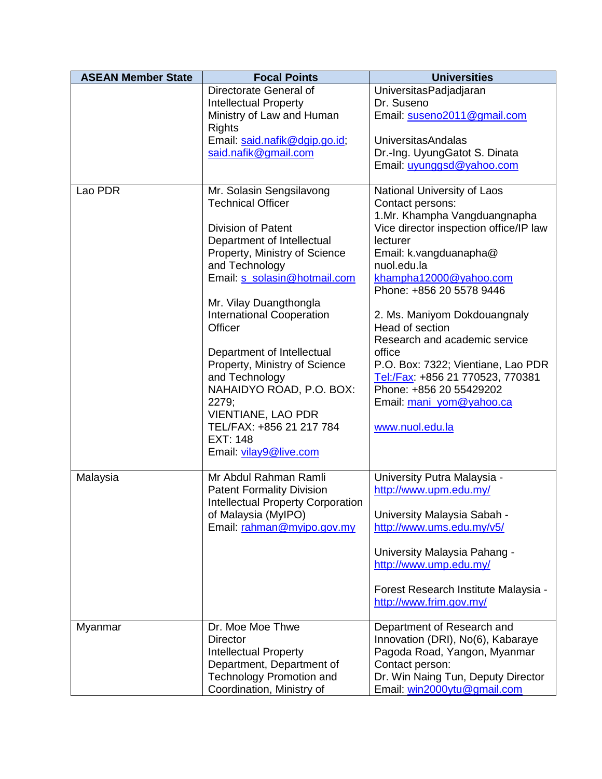| <b>ASEAN Member State</b> | <b>Focal Points</b>                                                                                                                                                                                                                                                                                                                                                                                                                                                                                     | <b>Universities</b>                                                                                                                                                                                                                                                                                                                                                                                                                                                                    |  |
|---------------------------|---------------------------------------------------------------------------------------------------------------------------------------------------------------------------------------------------------------------------------------------------------------------------------------------------------------------------------------------------------------------------------------------------------------------------------------------------------------------------------------------------------|----------------------------------------------------------------------------------------------------------------------------------------------------------------------------------------------------------------------------------------------------------------------------------------------------------------------------------------------------------------------------------------------------------------------------------------------------------------------------------------|--|
|                           | Directorate General of<br><b>Intellectual Property</b><br>Ministry of Law and Human<br><b>Rights</b><br>Email: said.nafik@dgip.go.id;                                                                                                                                                                                                                                                                                                                                                                   | UniversitasPadjadjaran<br>Dr. Suseno<br>Email: suseno2011@gmail.com<br><b>UniversitasAndalas</b>                                                                                                                                                                                                                                                                                                                                                                                       |  |
|                           | said.nafik@gmail.com                                                                                                                                                                                                                                                                                                                                                                                                                                                                                    | Dr.-Ing. UyungGatot S. Dinata<br>Email: uyunggsd@yahoo.com                                                                                                                                                                                                                                                                                                                                                                                                                             |  |
| Lao PDR                   | Mr. Solasin Sengsilavong<br><b>Technical Officer</b><br><b>Division of Patent</b><br>Department of Intellectual<br>Property, Ministry of Science<br>and Technology<br>Email: s_solasin@hotmail.com<br>Mr. Vilay Duangthongla<br><b>International Cooperation</b><br>Officer<br>Department of Intellectual<br>Property, Ministry of Science<br>and Technology<br>NAHAIDYO ROAD, P.O. BOX:<br>2279;<br><b>VIENTIANE, LAO PDR</b><br>TEL/FAX: +856 21 217 784<br><b>EXT: 148</b><br>Email: vilay9@live.com | National University of Laos<br>Contact persons:<br>1.Mr. Khampha Vangduangnapha<br>Vice director inspection office/IP law<br>lecturer<br>Email: k.vangduanapha@<br>nuol.edu.la<br>khampha12000@yahoo.com<br>Phone: +856 20 5578 9446<br>2. Ms. Maniyom Dokdouangnaly<br>Head of section<br>Research and academic service<br>office<br>P.O. Box: 7322; Vientiane, Lao PDR<br>Tel:/Fax: +856 21 770523, 770381<br>Phone: +856 20 55429202<br>Email: mani yom@yahoo.ca<br>www.nuol.edu.la |  |
| Malaysia                  | Mr Abdul Rahman Ramli<br><b>Patent Formality Division</b><br><b>Intellectual Property Corporation</b><br>of Malaysia (MyIPO)<br>Email: rahman@myipo.gov.my                                                                                                                                                                                                                                                                                                                                              | University Putra Malaysia -<br>http://www.upm.edu.my/<br>University Malaysia Sabah -<br>http://www.ums.edu.my/v5/<br>University Malaysia Pahang -<br>http://www.ump.edu.my/<br>Forest Research Institute Malaysia -<br>http://www.frim.gov.my/                                                                                                                                                                                                                                         |  |
| Myanmar                   | Dr. Moe Moe Thwe<br><b>Director</b><br><b>Intellectual Property</b><br>Department, Department of<br><b>Technology Promotion and</b><br>Coordination, Ministry of                                                                                                                                                                                                                                                                                                                                        | Department of Research and<br>Innovation (DRI), No(6), Kabaraye<br>Pagoda Road, Yangon, Myanmar<br>Contact person:<br>Dr. Win Naing Tun, Deputy Director<br>Email: win2000ytu@gmail.com                                                                                                                                                                                                                                                                                                |  |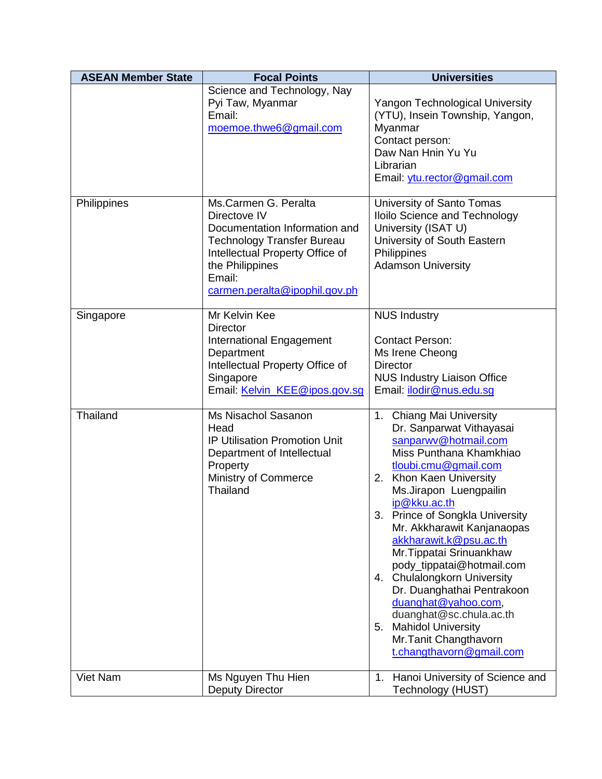| <b>ASEAN Member State</b> | <b>Focal Points</b>                                                                                                                                                                                         | <b>Universities</b>                                                                                                                                                                                                                                                                                                                                                                                                                                                                                                                                                 |  |
|---------------------------|-------------------------------------------------------------------------------------------------------------------------------------------------------------------------------------------------------------|---------------------------------------------------------------------------------------------------------------------------------------------------------------------------------------------------------------------------------------------------------------------------------------------------------------------------------------------------------------------------------------------------------------------------------------------------------------------------------------------------------------------------------------------------------------------|--|
|                           | Science and Technology, Nay<br>Pyi Taw, Myanmar<br>Email:<br>moemoe.thwe6@gmail.com                                                                                                                         | <b>Yangon Technological University</b><br>(YTU), Insein Township, Yangon,<br>Myanmar<br>Contact person:<br>Daw Nan Hnin Yu Yu<br>Librarian<br>Email: ytu.rector@gmail.com<br>University of Santo Tomas<br>Iloilo Science and Technology<br>University (ISAT U)<br>University of South Eastern<br>Philippines<br><b>Adamson University</b>                                                                                                                                                                                                                           |  |
| Philippines               | Ms.Carmen G. Peralta<br>Directove IV<br>Documentation Information and<br><b>Technology Transfer Bureau</b><br>Intellectual Property Office of<br>the Philippines<br>Email:<br>carmen.peralta@ipophil.gov.ph |                                                                                                                                                                                                                                                                                                                                                                                                                                                                                                                                                                     |  |
| Singapore                 | Mr Kelvin Kee<br><b>Director</b><br>International Engagement<br>Department<br>Intellectual Property Office of<br>Singapore<br>Email: Kelvin_KEE@ipos.gov.sg                                                 | <b>NUS Industry</b><br><b>Contact Person:</b><br>Ms Irene Cheong<br><b>Director</b><br><b>NUS Industry Liaison Office</b><br>Email: <i>ilodir@nus.edu.sg</i>                                                                                                                                                                                                                                                                                                                                                                                                        |  |
| Thailand                  | Ms Nisachol Sasanon<br>Head<br><b>IP Utilisation Promotion Unit</b><br>Department of Intellectual<br>Property<br>Ministry of Commerce<br><b>Thailand</b>                                                    | 1. Chiang Mai University<br>Dr. Sanparwat Vithayasai<br>sanparwy@hotmail.com<br>Miss Punthana Khamkhiao<br>tloubi.cmu@gmail.com<br>Khon Kaen University<br>2.<br>Ms.Jirapon Luengpailin<br>ip@kku.ac.th<br>3. Prince of Songkla University<br>Mr. Akkharawit Kanjanaopas<br>akkharawit.k@psu.ac.th<br>Mr. Tippatai Srinuankhaw<br>pody_tippatai@hotmail.com<br>4. Chulalongkorn University<br>Dr. Duanghathai Pentrakoon<br>duanghat@yahoo.com,<br>duanghat@sc.chula.ac.th<br><b>Mahidol University</b><br>5.<br>Mr. Tanit Changthavorn<br>t.changthavorn@gmail.com |  |
| <b>Viet Nam</b>           | Ms Nguyen Thu Hien<br><b>Deputy Director</b>                                                                                                                                                                | 1. Hanoi University of Science and<br>Technology (HUST)                                                                                                                                                                                                                                                                                                                                                                                                                                                                                                             |  |